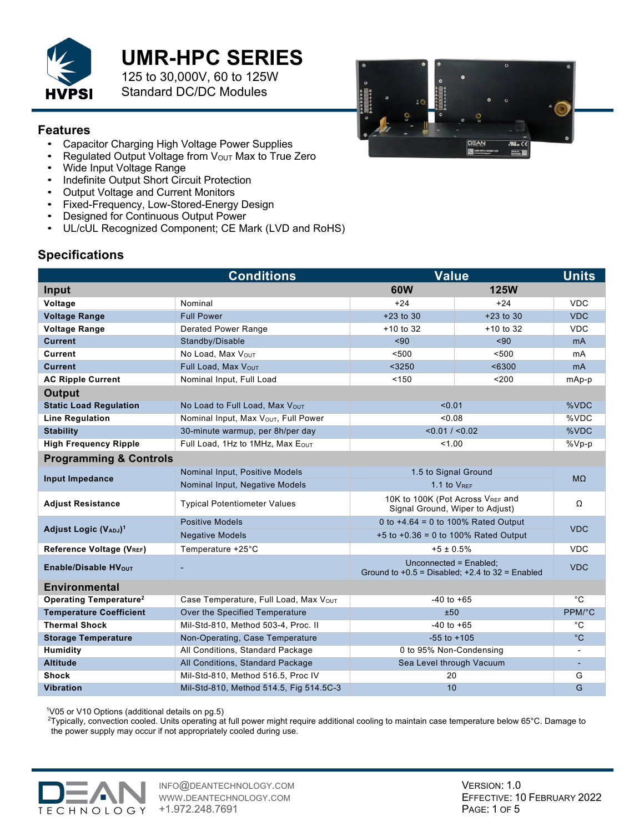

# **UMR-HPC SERIES**

125 to 30,000V, 60 to 125W Standard DC/DC Modules

### **Features**

- Capacitor Charging High Voltage Power Supplies<br>• Regulated Output Voltage from Vour Max to True
- Regulated Output Voltage from Vout Max to True Zero<br>• Wide Input Voltage Range
- Wide Input Voltage Range
- Indefinite Output Short Circuit Protection
- Output Voltage and Current Monitors
- Fixed-Frequency, Low-Stored-Energy Design
- Designed for Continuous Output Power
- UL/cUL Recognized Component; CE Mark (LVD and RoHS)

## **Specifications**

|                                          | <b>Conditions</b>                                | <b>Value</b>                                                                  |             | <b>Units</b>      |
|------------------------------------------|--------------------------------------------------|-------------------------------------------------------------------------------|-------------|-------------------|
| Input                                    |                                                  | 60W                                                                           | <b>125W</b> |                   |
| Voltage                                  | Nominal                                          | $+24$                                                                         | $+24$       | <b>VDC</b>        |
| <b>Voltage Range</b>                     | <b>Full Power</b>                                | $+23$ to 30                                                                   | $+23$ to 30 | <b>VDC</b>        |
| <b>Voltage Range</b>                     | <b>Derated Power Range</b>                       | $+10$ to 32                                                                   | $+10$ to 32 | <b>VDC</b>        |
| <b>Current</b>                           | Standby/Disable                                  | $90$                                                                          | ~50         | m <sub>A</sub>    |
| <b>Current</b>                           | No Load, Max Vout                                | < 500                                                                         | < 500       | mA                |
| <b>Current</b>                           | Full Load, Max VOUT                              | $3250$                                                                        | < 6300      | m <sub>A</sub>    |
| <b>AC Ripple Current</b>                 | Nominal Input, Full Load                         | < 150                                                                         | < 200       | mAp-p             |
| <b>Output</b>                            |                                                  |                                                                               |             |                   |
| <b>Static Load Regulation</b>            | No Load to Full Load, Max VOUT                   | < 0.01                                                                        |             | %VDC              |
| <b>Line Regulation</b>                   | Nominal Input, Max V <sub>OUT</sub> , Full Power | < 0.08                                                                        |             | %VDC              |
| <b>Stability</b>                         | 30-minute warmup, per 8h/per day                 | < 0.01 / < 0.02                                                               |             | %VDC              |
| <b>High Frequency Ripple</b>             | Full Load, 1Hz to 1MHz, Max EOUT                 | 1.00                                                                          |             | $\sqrt[9]{8}Vp-p$ |
| <b>Programming &amp; Controls</b>        |                                                  |                                                                               |             |                   |
|                                          | Nominal Input, Positive Models                   | 1.5 to Signal Ground                                                          |             | $M\Omega$         |
| <b>Input Impedance</b>                   | Nominal Input, Negative Models                   | 1.1 to $V_{REF}$                                                              |             |                   |
| <b>Adjust Resistance</b>                 | <b>Typical Potentiometer Values</b>              | 10K to 100K (Pot Across VREF and<br>Signal Ground, Wiper to Adjust)           |             | Ω                 |
|                                          | <b>Positive Models</b>                           | 0 to $+4.64 = 0$ to 100% Rated Output                                         |             | <b>VDC</b>        |
| Adjust Logic (VADJ) <sup>1</sup>         | <b>Negative Models</b>                           | +5 to +0.36 = 0 to 100% Rated Output                                          |             |                   |
| Reference Voltage (VREF)                 | Temperature +25°C                                | $+5 \pm 0.5\%$                                                                |             | <b>VDC</b>        |
| Enable/Disable HV <sub>OUT</sub>         |                                                  | Unconnected = Enabled;<br>Ground to $+0.5$ = Disabled; $+2.4$ to 32 = Enabled |             | <b>VDC</b>        |
| <b>Environmental</b>                     |                                                  |                                                                               |             |                   |
| <b>Operating Temperature<sup>2</sup></b> | Case Temperature, Full Load, Max VOUT            | $-40$ to $+65$                                                                |             | $\overline{C}$    |
| <b>Temperature Coefficient</b>           | Over the Specified Temperature                   | ±50                                                                           |             | PPM/°C            |
| <b>Thermal Shock</b>                     | Mil-Std-810, Method 503-4, Proc. II              | $-40$ to $+65$                                                                |             | $^{\circ}$ C      |
| <b>Storage Temperature</b>               | Non-Operating, Case Temperature                  | $-55$ to $+105$                                                               |             | $^{\circ}$ C      |
| <b>Humidity</b>                          | All Conditions, Standard Package                 | 0 to 95% Non-Condensing                                                       |             |                   |
| <b>Altitude</b>                          | All Conditions, Standard Package                 | Sea Level through Vacuum                                                      |             |                   |
| <b>Shock</b>                             | Mil-Std-810, Method 516.5, Proc IV               | 20                                                                            |             | G                 |
| <b>Vibration</b>                         | Mil-Std-810, Method 514.5, Fig 514.5C-3          | 10                                                                            |             | $\overline{G}$    |

<sup>1</sup>V05 or V10 Options (additional details on pg.5)

2 Typically, convection cooled. Units operating at full power might require additional cooling to maintain case temperature below 65°C. Damage to the power supply may occur if not appropriately cooled during use.



INFO@DEANTECHNOLOGY.COM WWW.DEANTECHNOLOGY.COM +1.972.248.7691

VERSION: 1.0 EFFECTIVE: 10 FEBRUARY 2022 PAGE: 1 OF 5

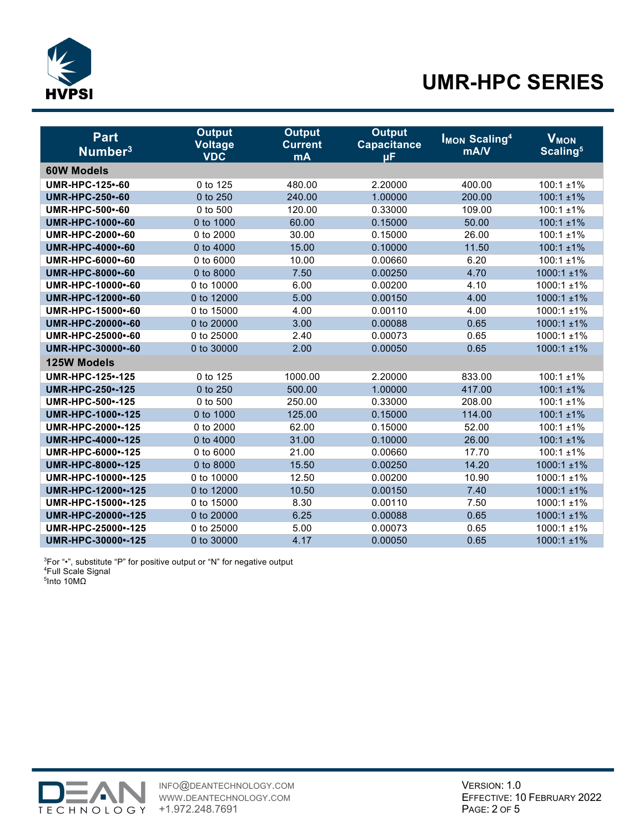

# **UMR-HPC SERIES**

| <b>Part</b>               | <b>Output</b>                | <b>Output</b>               | <b>Output</b>                 | <b>IMON Scaling<sup>4</sup></b> | <b>V<sub>MON</sub></b> |
|---------------------------|------------------------------|-----------------------------|-------------------------------|---------------------------------|------------------------|
| Number <sup>3</sup>       | <b>Voltage</b><br><b>VDC</b> | <b>Current</b><br><b>mA</b> | <b>Capacitance</b><br>$\mu$ F | mA/V                            | Scaling <sup>5</sup>   |
| <b>60W Models</b>         |                              |                             |                               |                                 |                        |
| <b>UMR-HPC-125 -- 60</b>  | 0 to 125                     | 480.00                      | 2.20000                       | 400.00                          | $100:1 \pm 1\%$        |
| <b>UMR-HPC-250 -- 60</b>  | 0 to 250                     | 240.00                      | 1.00000                       | 200.00                          | $100:1 \pm 1\%$        |
| UMR-HPC-500 -- 60         | 0 to 500                     | 120.00                      | 0.33000                       | 109.00                          | $100:1 \pm 1\%$        |
| UMR-HPC-1000 -- 60        | 0 to 1000                    | 60.00                       | 0.15000                       | 50.00                           | $100:1 \pm 1\%$        |
| UMR-HPC-2000 -- 60        | 0 to 2000                    | 30.00                       | 0.15000                       | 26.00                           | $100:1 \pm 1\%$        |
| UMR-HPC-4000 -- 60        | 0 to 4000                    | 15.00                       | 0.10000                       | 11.50                           | $100:1 \pm 1\%$        |
| UMR-HPC-6000 -- 60        | 0 to 6000                    | 10.00                       | 0.00660                       | 6.20                            | $100:1 \pm 1\%$        |
| UMR-HPC-8000 -- 60        | 0 to 8000                    | 7.50                        | 0.00250                       | 4.70                            | 1000:1 ±1%             |
| UMR-HPC-10000 -- 60       | 0 to 10000                   | 6.00                        | 0.00200                       | 4.10                            | 1000:1 ±1%             |
| UMR-HPC-12000 -- 60       | 0 to 12000                   | 5.00                        | 0.00150                       | 4.00                            | $1000:1 \pm 1\%$       |
| UMR-HPC-15000 -- 60       | 0 to 15000                   | 4.00                        | 0.00110                       | 4.00                            | 1000:1 ±1%             |
| UMR-HPC-20000 -- 60       | 0 to 20000                   | 3.00                        | 0.00088                       | 0.65                            | 1000:1 ±1%             |
| UMR-HPC-25000 -- 60       | 0 to 25000                   | 2.40                        | 0.00073                       | 0.65                            | 1000:1 ±1%             |
| UMR-HPC-30000 -- 60       | 0 to 30000                   | 2.00                        | 0.00050                       | 0.65                            | 1000:1 ±1%             |
| 125W Models               |                              |                             |                               |                                 |                        |
| <b>UMR-HPC-125 -- 125</b> | 0 to 125                     | 1000.00                     | 2.20000                       | 833.00                          | $100:1 \pm 1\%$        |
| <b>UMR-HPC-250 -- 125</b> | 0 to 250                     | 500.00                      | 1.00000                       | 417.00                          | $100:1 \pm 1\%$        |
| UMR-HPC-500 -- 125        | 0 to 500                     | 250.00                      | 0.33000                       | 208.00                          | $100:1 \pm 1\%$        |
| UMR-HPC-1000 -- 125       | 0 to 1000                    | 125.00                      | 0.15000                       | 114.00                          | $100:1 \pm 1\%$        |
| UMR-HPC-2000 -- 125       | 0 to 2000                    | 62.00                       | 0.15000                       | 52.00                           | $100:1 \pm 1\%$        |
| UMR-HPC-4000 -- 125       | 0 to 4000                    | 31.00                       | 0.10000                       | 26.00                           | $100:1 \pm 1\%$        |
| UMR-HPC-6000 -- 125       | 0 to 6000                    | 21.00                       | 0.00660                       | 17.70                           | $100:1 \pm 1\%$        |
| UMR-HPC-8000 -- 125       | 0 to 8000                    | 15.50                       | 0.00250                       | 14.20                           | 1000:1 ±1%             |
| UMR-HPC-10000 -- 125      | 0 to 10000                   | 12.50                       | 0.00200                       | 10.90                           | 1000:1 ±1%             |
| UMR-HPC-12000 -- 125      | 0 to 12000                   | 10.50                       | 0.00150                       | 7.40                            | 1000:1 ±1%             |
| UMR-HPC-15000 -- 125      | 0 to 15000                   | 8.30                        | 0.00110                       | 7.50                            | 1000:1 ±1%             |
| UMR-HPC-20000 -- 125      | 0 to 20000                   | 6.25                        | 0.00088                       | 0.65                            | $1000:1 \pm 1\%$       |
| UMR-HPC-25000 -- 125      | 0 to 25000                   | 5.00                        | 0.00073                       | 0.65                            | 1000:1 ±1%             |
| UMR-HPC-30000 -- 125      | 0 to 30000                   | 4.17                        | 0.00050                       | 0.65                            | 1000:1 ±1%             |

 $3$ For "•", substitute "P" for positive output or "N" for negative output  $4$ Full Scale Signal <sup>4</sup>Full Scale Signal<br><sup>5</sup>Into 10MΩ

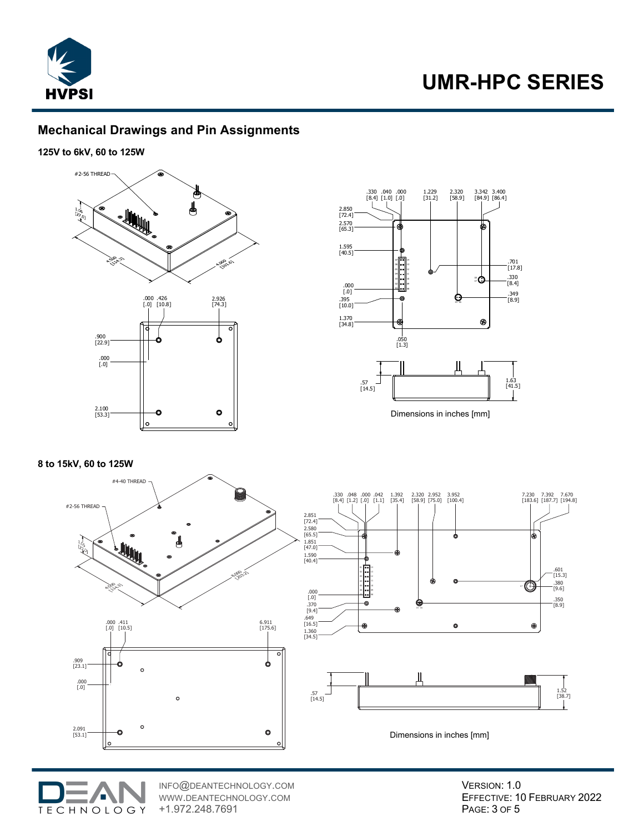

## **Mechanical Drawings and Pin Assignments**

#### **125V to 6kV, 60 to 125W**





Dimensions in inches [mm]

#### **8 to 15kV, 60 to 125W**







INFO@DEANTECHNOLOGY.COM WWW.DEANTECHNOLOGY.COM +1.972.248.7691

VERSION: 1.0 EFFECTIVE: 10 FEBRUARY 2022 PAGE: 3 OF 5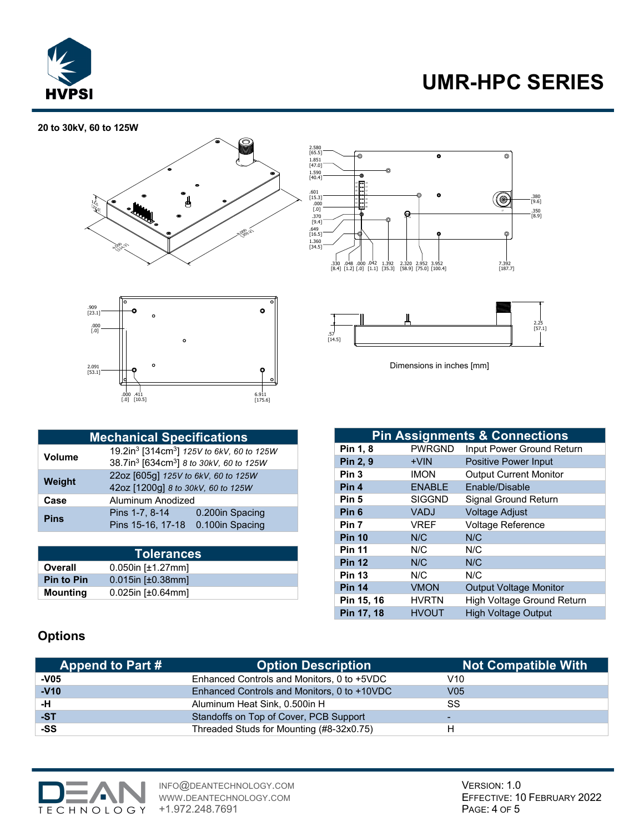

# **UMR-HPC SERIES**

 $\overline{\circ}$ 

### **20 to 30kV, 60 to 125W**





| 1.590<br>[40.4]                                   | ∾<br>۰<br>$\omega$ [se] $\approx$                                       |                        |                     |                                            |
|---------------------------------------------------|-------------------------------------------------------------------------|------------------------|---------------------|--------------------------------------------|
| .601<br>[15.3]<br>.000<br>$[.0]$<br>.370<br>[9.4] | os I<br>le el 13<br>os I<br>12<br>$\circ$ $\bullet$<br>10<br>. ∣••<br>ก | $\bullet$<br>ค<br>Ω.   | ි<br>$\overline{D}$ | .380<br>[9.6]<br>$.350\bracket 8.9\rfloor$ |
| .649<br>[16.5]<br>1.360<br>[34.5]                 | σ<br>.330 .048 .000 .042<br>1.392                                       | ۰<br>2.320 2.952 3.952 | $^{\circ}$<br>7.392 |                                            |
|                                                   | $[8.4] [1.2] [0] [1.1] [35.3] [58.9] [75.0] [100.4]$                    |                        | $[187.7]$           |                                            |
|                                                   |                                                                         |                        |                     | 2.25<br>[57.1]                             |

 $\overline{\bullet}$ 

Dimensions in inches [mm]

|               | <b>Mechanical Specifications</b>                                |                                                                   |  |  |
|---------------|-----------------------------------------------------------------|-------------------------------------------------------------------|--|--|
| <b>Volume</b> |                                                                 | 19.2in <sup>3</sup> [314cm <sup>3</sup> ] 125V to 6kV, 60 to 125W |  |  |
|               | 38.7in <sup>3</sup> [634cm <sup>3</sup> ] 8 to 30kV, 60 to 125W |                                                                   |  |  |
| Weight        |                                                                 | 22oz [605g] 125V to 6kV, 60 to 125W                               |  |  |
|               |                                                                 | 42oz [1200g] 8 to 30kV, 60 to 125W                                |  |  |
| Case          | Aluminum Anodized                                               |                                                                   |  |  |
| <b>Pins</b>   | Pins 1-7, 8-14                                                  | 0.200in Spacing                                                   |  |  |
|               | Pins 15-16, 17-18                                               | 0.100in Spacing                                                   |  |  |

| <b>Tolerances</b> |                             |  |
|-------------------|-----------------------------|--|
| Overall           | $0.050$ in [ $±1.27$ mm]    |  |
| <b>Pin to Pin</b> | $0.015$ in [ $\pm 0.38$ mm] |  |
| Mounting          | $0.025$ in [ $\pm 0.64$ mm] |  |

|                  |               | <b>Pin Assignments &amp; Connections</b> |
|------------------|---------------|------------------------------------------|
| Pin 1, 8         | <b>PWRGND</b> | Input Power Ground Return                |
| Pin 2, 9         | $+V$ IN       | <b>Positive Power Input</b>              |
| Pin <sub>3</sub> | <b>IMON</b>   | <b>Output Current Monitor</b>            |
| Pin 4            | <b>ENABLE</b> | Enable/Disable                           |
| Pin 5            | <b>SIGGND</b> | Signal Ground Return                     |
| Pin <sub>6</sub> | VADJ          | <b>Voltage Adjust</b>                    |
| Pin 7            | VREF          | <b>Voltage Reference</b>                 |
| <b>Pin 10</b>    | N/C           | N/C                                      |
| <b>Pin 11</b>    | N/C           | N/C                                      |
| <b>Pin 12</b>    | N/C           | N/C                                      |
| <b>Pin 13</b>    | N/C           | N/C                                      |
| <b>Pin 14</b>    | <b>VMON</b>   | <b>Output Voltage Monitor</b>            |
| Pin 15, 16       | <b>HVRTN</b>  | High Voltage Ground Return               |
| Pin 17, 18       | <b>HVOUT</b>  | <b>High Voltage Output</b>               |

## **Options**

| <b>Append to Part #</b> | <b>Option Description</b>                   | <b>Not Compatible With</b> |
|-------------------------|---------------------------------------------|----------------------------|
| $-V05$                  | Enhanced Controls and Monitors, 0 to +5VDC  | V10                        |
| $-V10$                  | Enhanced Controls and Monitors, 0 to +10VDC | V <sub>05</sub>            |
| -н                      | Aluminum Heat Sink, 0.500in H               | SS                         |
| -ST                     | Standoffs on Top of Cover, PCB Support      | -                          |
| -SS                     | Threaded Studs for Mounting (#8-32x0.75)    | н                          |

.57 [14.5]

 $\overline{a}$ 

2.580 [65.5]

1.851 [47.0]



INFO@DEANTECHNOLOGY.COM WWW.DEANTECHNOLOGY.COM +1.972.248.7691

VERSION: 1.0 EFFECTIVE: 10 FEBRUARY 2022 PAGE: 4 OF 5